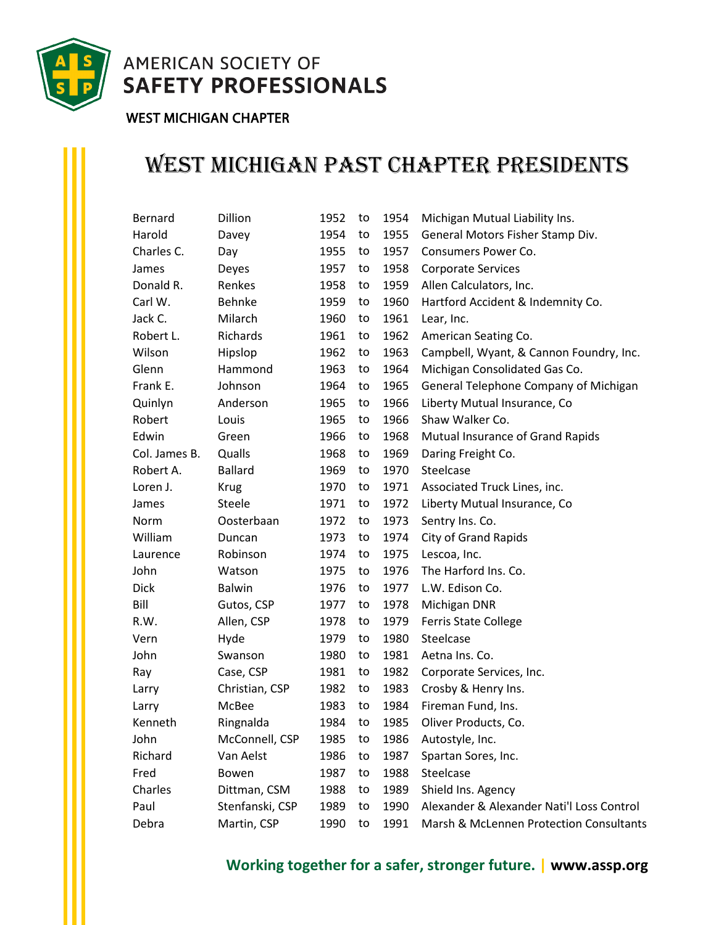

**AMERICAN SOCIETY OF SAFETY PROFESSIONALS** 

## WEST MICHIGAN CHAPTER

## West Michigan Past Chapter Presidents

| <b>Bernard</b> | Dillion         | 1952 | to | 1954 | Michigan Mutual Liability Ins.            |  |
|----------------|-----------------|------|----|------|-------------------------------------------|--|
| Harold         | Davey           | 1954 | to | 1955 | General Motors Fisher Stamp Div.          |  |
| Charles C.     | Day             | 1955 | to | 1957 | Consumers Power Co.                       |  |
| James          | Deyes           | 1957 | to | 1958 | <b>Corporate Services</b>                 |  |
| Donald R.      | Renkes          | 1958 | to | 1959 | Allen Calculators, Inc.                   |  |
| Carl W.        | Behnke          | 1959 | to | 1960 | Hartford Accident & Indemnity Co.         |  |
| Jack C.        | Milarch         | 1960 | to | 1961 | Lear, Inc.                                |  |
| Robert L.      | Richards        | 1961 | to | 1962 | American Seating Co.                      |  |
| Wilson         | Hipslop         | 1962 | to | 1963 | Campbell, Wyant, & Cannon Foundry, Inc.   |  |
| Glenn          | Hammond         | 1963 | to | 1964 | Michigan Consolidated Gas Co.             |  |
| Frank E.       | Johnson         | 1964 | to | 1965 | General Telephone Company of Michigan     |  |
| Quinlyn        | Anderson        | 1965 | to | 1966 | Liberty Mutual Insurance, Co              |  |
| Robert         | Louis           | 1965 | to | 1966 | Shaw Walker Co.                           |  |
| Edwin          | Green           | 1966 | to | 1968 | Mutual Insurance of Grand Rapids          |  |
| Col. James B.  | Qualls          | 1968 | to | 1969 | Daring Freight Co.                        |  |
| Robert A.      | <b>Ballard</b>  | 1969 | to | 1970 | Steelcase                                 |  |
| Loren J.       | <b>Krug</b>     | 1970 | to | 1971 | Associated Truck Lines, inc.              |  |
| James          | Steele          | 1971 | to | 1972 | Liberty Mutual Insurance, Co              |  |
| Norm           | Oosterbaan      | 1972 | to | 1973 | Sentry Ins. Co.                           |  |
| William        | Duncan          | 1973 | to | 1974 | <b>City of Grand Rapids</b>               |  |
| Laurence       | Robinson        | 1974 | to | 1975 | Lescoa, Inc.                              |  |
| John           | Watson          | 1975 | to | 1976 | The Harford Ins. Co.                      |  |
| Dick           | <b>Balwin</b>   | 1976 | to | 1977 | L.W. Edison Co.                           |  |
| Bill           | Gutos, CSP      | 1977 | to | 1978 | Michigan DNR                              |  |
| R.W.           | Allen, CSP      | 1978 | to | 1979 | <b>Ferris State College</b>               |  |
| Vern           | Hyde            | 1979 | to | 1980 | Steelcase                                 |  |
| John           | Swanson         | 1980 | to | 1981 | Aetna Ins. Co.                            |  |
| Ray            | Case, CSP       | 1981 | to | 1982 | Corporate Services, Inc.                  |  |
| Larry          | Christian, CSP  | 1982 | to | 1983 | Crosby & Henry Ins.                       |  |
| Larry          | McBee           | 1983 | to | 1984 | Fireman Fund, Ins.                        |  |
| Kenneth        | Ringnalda       | 1984 | to | 1985 | Oliver Products, Co.                      |  |
| John           | McConnell, CSP  | 1985 | to | 1986 | Autostyle, Inc.                           |  |
| Richard        | Van Aelst       | 1986 | to | 1987 | Spartan Sores, Inc.                       |  |
| Fred           | Bowen           | 1987 | to | 1988 | Steelcase                                 |  |
| Charles        | Dittman, CSM    | 1988 | to | 1989 | Shield Ins. Agency                        |  |
| Paul           | Stenfanski, CSP | 1989 | to | 1990 | Alexander & Alexander Nati'l Loss Control |  |
| Debra          | Martin, CSP     | 1990 | to | 1991 | Marsh & McLennen Protection Consultants   |  |